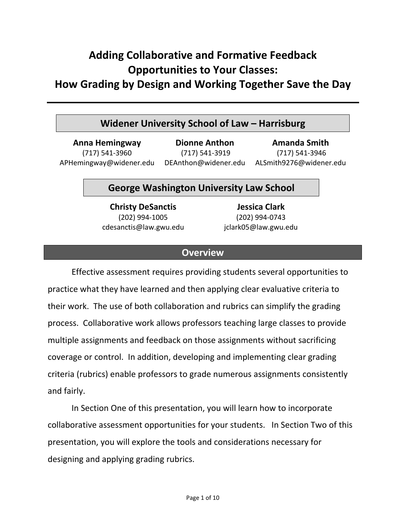# **Adding Collaborative and Formative Feedback Opportunities to Your Classes:**

**How Grading by Design and Working Together Save the Day**

# **Widener University School of Law – Harrisburg**

**Anna Hemingway** (717) 541‐3960 APHemingway@widener.edu DEAnthon@widener.edu

**Dionne Anthon** (717) 541‐3919

**Amanda Smith** (717) 541‐3946 ALSmith9276@widener.edu

# **George Washington University Law School**

**Christy DeSanctis** (202) 994‐1005 cdesanctis@law.gwu.edu

**Jessica Clark** (202) 994‐0743 jclark05@law.gwu.edu

# **Overview**

Effective assessment requires providing students several opportunities to practice what they have learned and then applying clear evaluative criteria to their work. The use of both collaboration and rubrics can simplify the grading process. Collaborative work allows professors teaching large classes to provide multiple assignments and feedback on those assignments without sacrificing coverage or control. In addition, developing and implementing clear grading criteria (rubrics) enable professors to grade numerous assignments consistently and fairly.

In Section One of this presentation, you will learn how to incorporate collaborative assessment opportunities for your students. In Section Two of this presentation, you will explore the tools and considerations necessary for designing and applying grading rubrics.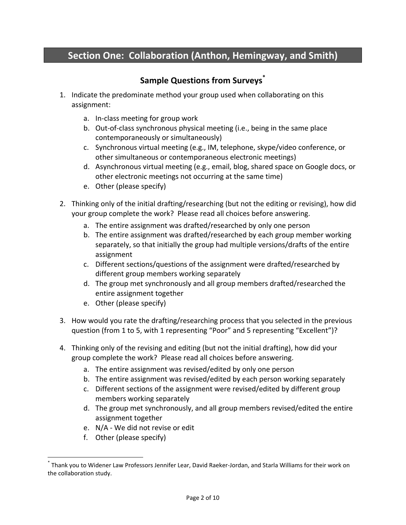# **Section One: Collaboration (Anthon, Hemingway, and Smith)**

# **Sample Questions from Surveys\***

- 1. Indicate the predominate method your group used when collaborating on this assignment:
	- a. In‐class meeting for group work
	- b. Out‐of‐class synchronous physical meeting (i.e., being in the same place contemporaneously or simultaneously)
	- c. Synchronous virtual meeting (e.g., IM, telephone, skype/video conference, or other simultaneous or contemporaneous electronic meetings)
	- d. Asynchronous virtual meeting (e.g., email, blog, shared space on Google docs, or other electronic meetings not occurring at the same time)
	- e. Other (please specify)
- 2. Thinking only of the initial drafting/researching (but not the editing or revising), how did your group complete the work? Please read all choices before answering.
	- a. The entire assignment was drafted/researched by only one person
	- b. The entire assignment was drafted/researched by each group member working separately, so that initially the group had multiple versions/drafts of the entire assignment
	- c. Different sections/questions of the assignment were drafted/researched by different group members working separately
	- d. The group met synchronously and all group members drafted/researched the entire assignment together
	- e. Other (please specify)
- 3. How would you rate the drafting/researching process that you selected in the previous question (from 1 to 5, with 1 representing "Poor" and 5 representing "Excellent")?
- 4. Thinking only of the revising and editing (but not the initial drafting), how did your group complete the work? Please read all choices before answering.
	- a. The entire assignment was revised/edited by only one person
	- b. The entire assignment was revised/edited by each person working separately
	- c. Different sections of the assignment were revised/edited by different group members working separately
	- d. The group met synchronously, and all group members revised/edited the entire assignment together
	- e. N/A ‐ We did not revise or edit
	- f. Other (please specify)

<sup>\*</sup> Thank you to Widener Law Professors Jennifer Lear, David Raeker‐Jordan, and Starla Williams for their work on the collaboration study.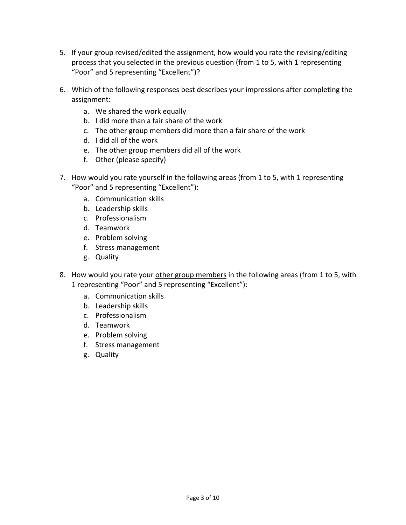- 5. If your group revised/edited the assignment, how would you rate the revising/editing process that you selected in the previous question (from 1 to 5, with 1 representing "Poor" and 5 representing "Excellent")?
- 6. Which of the following responses best describes your impressions after completing the assignment:
	- a. We shared the work equally
	- b. I did more than a fair share of the work
	- c. The other group members did more than a fair share of the work
	- d. I did all of the work
	- e. The other group members did all of the work
	- f. Other (please specify)
- 7. How would you rate yourself in the following areas (from 1 to 5, with 1 representing "Poor" and 5 representing "Excellent"):
	- a. Communication skills
	- b. Leadership skills
	- c. Professionalism
	- d. Teamwork
	- e. Problem solving
	- f. Stress management
	- g. Quality
- 8. How would you rate your other group members in the following areas (from 1 to 5, with 1 representing "Poor" and 5 representing "Excellent"):
	- a. Communication skills
	- b. Leadership skills
	- c. Professionalism
	- d. Teamwork
	- e. Problem solving
	- f. Stress management
	- g. Quality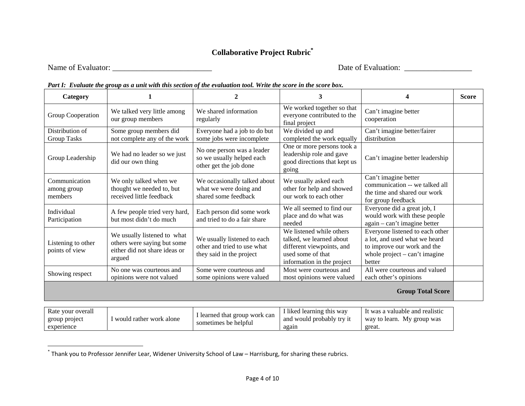# **Collaborative Project Rubric\***

Name of Evaluator: \_\_\_\_\_\_\_\_\_\_\_\_\_\_\_\_\_\_\_\_\_\_\_\_\_ Date of Evaluation: \_\_\_\_\_\_\_\_\_\_\_\_\_\_\_\_\_

| Category                                |                                                                                                       | 2                                                                                      | 3                                                                                                                                    |                                                                                                                                              | <b>Score</b> |
|-----------------------------------------|-------------------------------------------------------------------------------------------------------|----------------------------------------------------------------------------------------|--------------------------------------------------------------------------------------------------------------------------------------|----------------------------------------------------------------------------------------------------------------------------------------------|--------------|
| Group Cooperation                       | We talked very little among<br>our group members                                                      | We shared information<br>regularly                                                     | We worked together so that<br>everyone contributed to the<br>final project                                                           | Can't imagine better<br>cooperation                                                                                                          |              |
| Distribution of<br>Group Tasks          | Some group members did<br>not complete any of the work                                                | Everyone had a job to do but<br>some jobs were incomplete                              | We divided up and<br>completed the work equally                                                                                      | Can't imagine better/fairer<br>distribution                                                                                                  |              |
| Group Leadership                        | We had no leader so we just<br>did our own thing                                                      | No one person was a leader<br>so we usually helped each<br>other get the job done      | One or more persons took a<br>leadership role and gave<br>good directions that kept us<br>going                                      | Can't imagine better leadership                                                                                                              |              |
| Communication<br>among group<br>members | We only talked when we<br>thought we needed to, but<br>received little feedback                       | We occasionally talked about<br>what we were doing and<br>shared some feedback         | We usually asked each<br>other for help and showed<br>our work to each other                                                         | Can't imagine better<br>communication -- we talked all<br>the time and shared our work<br>for group feedback                                 |              |
| Individual<br>Participation             | A few people tried very hard,<br>but most didn't do much                                              | Each person did some work<br>and tried to do a fair share                              | We all seemed to find our<br>place and do what was<br>needed                                                                         | Everyone did a great job, I<br>would work with these people<br>again – can't imagine better                                                  |              |
| Listening to other<br>points of view    | We usually listened to what<br>others were saying but some<br>either did not share ideas or<br>argued | We usually listened to each<br>other and tried to use what<br>they said in the project | We listened while others<br>talked, we learned about<br>different viewpoints, and<br>used some of that<br>information in the project | Everyone listened to each other<br>a lot, and used what we heard<br>to improve our work and the<br>whole project $-$ can't imagine<br>better |              |
| Showing respect                         | No one was courteous and<br>opinions were not valued                                                  | Some were courteous and<br>some opinions were valued                                   | Most were courteous and<br>most opinions were valued                                                                                 | All were courteous and valued<br>each other's opinions                                                                                       |              |
| <b>Group Total Score</b>                |                                                                                                       |                                                                                        |                                                                                                                                      |                                                                                                                                              |              |

### *Part I: Evaluate the group as a unit with this section of the evaluation tool. Write the score in the score box.*

| Rate your overall | would rather work alone | I learned that group work can<br>sometimes be helpful | I liked learning this way | It was a valuable and realistic |
|-------------------|-------------------------|-------------------------------------------------------|---------------------------|---------------------------------|
| group project     |                         |                                                       | and would probably try it | way to learn. My group was      |
| experience        |                         |                                                       | again                     | great.                          |

<sup>\*</sup> Thank you to Professor Jennifer Lear, Widener University School of Law – Harrisburg, for sharing these rubrics.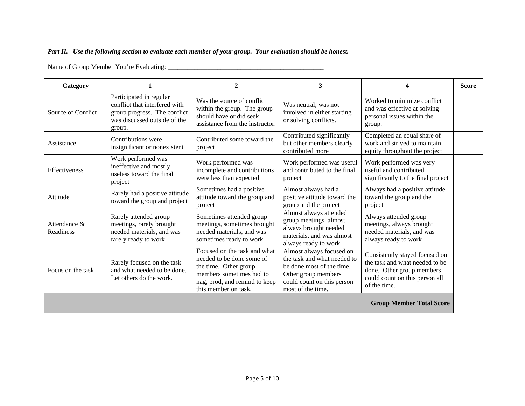### *Part II. Use the following section to evaluate each member of your group. Your evaluation should be honest.*

Name of Group Member You're Evaluating: \_\_\_\_\_\_\_\_\_\_\_\_\_\_\_\_\_\_\_\_\_\_\_\_\_\_\_\_\_\_\_\_\_\_\_\_\_\_\_\_\_\_\_\_\_\_\_

| Category                        |                                                                                                                                    | $\mathbf{2}$                                                                                                                                                            | 3                                                                                                                                                              |                                                                                                                                                 | <b>Score</b> |  |  |
|---------------------------------|------------------------------------------------------------------------------------------------------------------------------------|-------------------------------------------------------------------------------------------------------------------------------------------------------------------------|----------------------------------------------------------------------------------------------------------------------------------------------------------------|-------------------------------------------------------------------------------------------------------------------------------------------------|--------------|--|--|
| Source of Conflict              | Participated in regular<br>conflict that interfered with<br>group progress. The conflict<br>was discussed outside of the<br>group. | Was the source of conflict<br>within the group. The group<br>should have or did seek<br>assistance from the instructor.                                                 | Was neutral; was not<br>involved in either starting<br>or solving conflicts.                                                                                   | Worked to minimize conflict<br>and was effective at solving<br>personal issues within the<br>group.                                             |              |  |  |
| Assistance                      | Contributions were<br>insignificant or nonexistent                                                                                 | Contributed some toward the<br>project                                                                                                                                  | Contributed significantly<br>but other members clearly<br>contributed more                                                                                     | Completed an equal share of<br>work and strived to maintain<br>equity throughout the project                                                    |              |  |  |
| Effectiveness                   | Work performed was<br>ineffective and mostly<br>useless toward the final<br>project                                                | Work performed was<br>incomplete and contributions<br>were less than expected                                                                                           | Work performed was useful<br>and contributed to the final<br>project                                                                                           | Work performed was very<br>useful and contributed<br>significantly to the final project                                                         |              |  |  |
| Attitude                        | Rarely had a positive attitude<br>toward the group and project                                                                     | Sometimes had a positive<br>attitude toward the group and<br>project                                                                                                    | Almost always had a<br>positive attitude toward the<br>group and the project                                                                                   | Always had a positive attitude<br>toward the group and the<br>project                                                                           |              |  |  |
| Attendance &<br>Readiness       | Rarely attended group<br>meetings, rarely brought<br>needed materials, and was<br>rarely ready to work                             | Sometimes attended group<br>meetings, sometimes brought<br>needed materials, and was<br>sometimes ready to work                                                         | Almost always attended<br>group meetings, almost<br>always brought needed<br>materials, and was almost<br>always ready to work                                 | Always attended group<br>meetings, always brought<br>needed materials, and was<br>always ready to work                                          |              |  |  |
| Focus on the task               | Rarely focused on the task<br>and what needed to be done.<br>Let others do the work.                                               | Focused on the task and what<br>needed to be done some of<br>the time. Other group<br>members sometimes had to<br>nag, prod, and remind to keep<br>this member on task. | Almost always focused on<br>the task and what needed to<br>be done most of the time.<br>Other group members<br>could count on this person<br>most of the time. | Consistently stayed focused on<br>the task and what needed to be<br>done. Other group members<br>could count on this person all<br>of the time. |              |  |  |
| <b>Group Member Total Score</b> |                                                                                                                                    |                                                                                                                                                                         |                                                                                                                                                                |                                                                                                                                                 |              |  |  |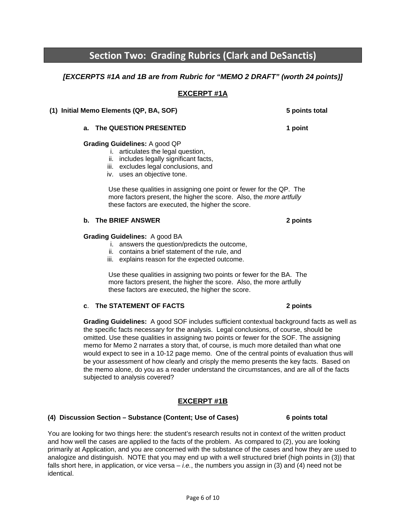# **Section Two: Grading Rubrics (Clark and DeSanctis)**

## *[EXCERPTS #1A and 1B are from Rubric for "MEMO 2 DRAFT" (worth 24 points)]*

**EXCERPT #1A** 

 **(1) Initial Memo Elements (QP, BA, SOF) 5 points total**

## **Grading Guidelines:** A good QP

- i. articulates the legal question,
- ii. includes legally significant facts,
- iii. excludes legal conclusions, and
- iv. uses an objective tone.

 Use these qualities in assigning one point or fewer for the QP. The more factors present, the higher the score. Also, the *more artfully*  these factors are executed, the higher the score.

### **b.** The BRIEF ANSWER 2 points **2** points

### **Grading Guidelines:** A good BA

- i. answers the question/predicts the outcome,
- ii. contains a brief statement of the rule, and
- iii. explains reason for the expected outcome.

 Use these qualities in assigning two points or fewer for the BA. The more factors present, the higher the score. Also, the more artfully these factors are executed, the higher the score.

### **c**. **The STATEMENT OF FACTS 2 points**

**Grading Guidelines:** A good SOF includes sufficient contextual background facts as well as the specific facts necessary for the analysis. Legal conclusions, of course, should be omitted. Use these qualities in assigning two points or fewer for the SOF. The assigning memo for Memo 2 narrates a story that, of course, is much more detailed than what one would expect to see in a 10-12 page memo. One of the central points of evaluation thus will be your assessment of how clearly and crisply the memo presents the key facts. Based on the memo alone, do you as a reader understand the circumstances, and are all of the facts subjected to analysis covered?

## **EXCERPT #1B**

### **(4) Discussion Section – Substance (Content; Use of Cases) 6 points total**

You are looking for two things here: the student's research results not in context of the written product and how well the cases are applied to the facts of the problem. As compared to (2), you are looking primarily at Application, and you are concerned with the substance of the cases and how they are used to analogize and distinguish. NOTE that you may end up with a well structured brief (high points in (3)) that falls short here, in application, or vice versa – *i.e.*, the numbers you assign in (3) and (4) need not be identical.

**a.** The QUESTION PRESENTED 1 point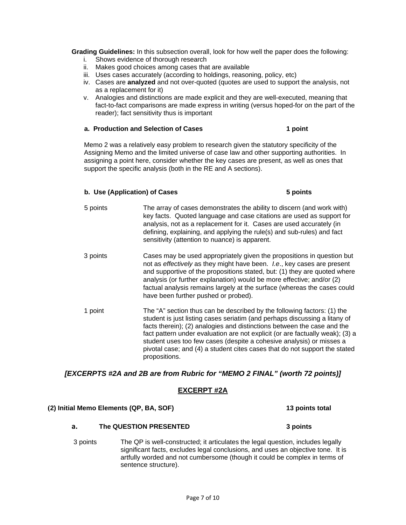**Grading Guidelines:** In this subsection overall, look for how well the paper does the following:

- i. Shows evidence of thorough research
- ii. Makes good choices among cases that are available
- iii. Uses cases accurately (according to holdings, reasoning, policy, etc)
- iv. Cases are **analyzed** and not over-quoted (quotes are used to support the analysis, not as a replacement for it)
- v. Analogies and distinctions are made explicit and they are well-executed, meaning that fact-to-fact comparisons are made express in writing (versus hoped-for on the part of the reader); fact sensitivity thus is important

### **a. Production and Selection of Cases 1 point 1 point 1 point 1 point 1 point 1 point 1 point 1 point 1 point 1 point 1 point 1 point 1 point 1 point 1 point 1 point 1 point 1 point 1 point 1 point 1 point 1 point 1 point**

Memo 2 was a relatively easy problem to research given the statutory specificity of the Assigning Memo and the limited universe of case law and other supporting authorities. In assigning a point here, consider whether the key cases are present, as well as ones that support the specific analysis (both in the RE and A sections).

### **b. Use (Application) of Cases 5 points**

- 5 points The array of cases demonstrates the ability to discern (and work with) key facts. Quoted language and case citations are used as support for analysis, not as a replacement for it. Cases are used accurately (in defining, explaining, and applying the rule(s) and sub-rules) and fact sensitivity (attention to nuance) is apparent.
- 3 points Cases may be used appropriately given the propositions in question but not as *effectively* as they might have been. *I.e*., key cases are present and supportive of the propositions stated, but: (1) they are quoted where analysis (or further explanation) would be more effective; and/or (2) factual analysis remains largely at the surface (whereas the cases could have been further pushed or probed).
- 1 point The "A" section thus can be described by the following factors: (1) the student is just listing cases seriatim (and perhaps discussing a litany of facts therein); (2) analogies and distinctions between the case and the fact pattern under evaluation are not explicit (or are factually weak); (3) a student uses too few cases (despite a cohesive analysis) or misses a pivotal case; and (4) a student cites cases that do not support the stated propositions.

*[EXCERPTS #2A and 2B are from Rubric for "MEMO 2 FINAL" (worth 72 points)]* 

### **EXCERPT #2A**

## **(2) Initial Memo Elements (QP, BA, SOF) 13 points total**

### **a. The QUESTION PRESENTED 3 points**

3 points The QP is well-constructed; it articulates the legal question, includes legally significant facts, excludes legal conclusions, and uses an objective tone. It is artfully worded and not cumbersome (though it could be complex in terms of sentence structure).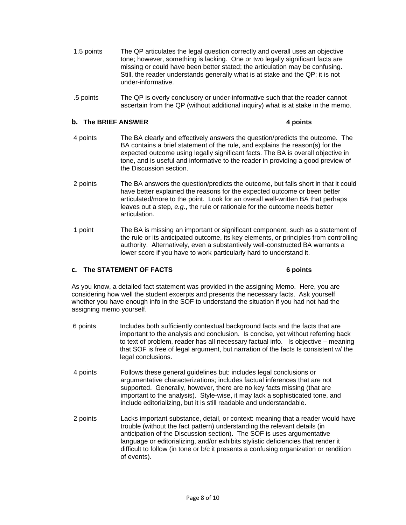- 1.5 points The QP articulates the legal question correctly and overall uses an objective tone; however, something is lacking. One or two legally significant facts are missing or could have been better stated; the articulation may be confusing. Still, the reader understands generally what is at stake and the QP; it is not under-informative.
- .5 points The QP is overly conclusory or under-informative such that the reader cannot ascertain from the QP (without additional inquiry) what is at stake in the memo.

### **b.** The BRIEF ANSWER 4 points 4 points

- 4 points The BA clearly and effectively answers the question/predicts the outcome. The BA contains a brief statement of the rule, and explains the reason(s) for the expected outcome using legally significant facts. The BA is overall objective in tone, and is useful and informative to the reader in providing a good preview of the Discussion section.
- 2 points The BA answers the question/predicts the outcome, but falls short in that it could have better explained the reasons for the expected outcome or been better articulated/more to the point. Look for an overall well-written BA that perhaps leaves out a step, *e.g.*, the rule or rationale for the outcome needs better articulation.
- 1 point The BA is missing an important or significant component, such as a statement of the rule or its anticipated outcome, its key elements, or principles from controlling authority. Alternatively, even a substantively well-constructed BA warrants a lower score if you have to work particularly hard to understand it.

### **c. The STATEMENT OF FACTS 6 points**

As you know, a detailed fact statement was provided in the assigning Memo. Here, you are considering how well the student excerpts and presents the necessary facts. Ask yourself whether you have enough info in the SOF to understand the situation if you had not had the assigning memo yourself.

- 6 points Includes both sufficiently contextual background facts and the facts that are important to the analysis and conclusion. Is concise, yet without referring back to text of problem, reader has all necessary factual info. Is objective – meaning that SOF is free of legal argument, but narration of the facts Is consistent w/ the legal conclusions.
- 4 points Follows these general guidelines but: includes legal conclusions or argumentative characterizations; includes factual inferences that are not supported. Generally, however, there are no key facts missing (that are important to the analysis). Style-wise, it may lack a sophisticated tone, and include editorializing, but it is still readable and understandable.
- 2 points Lacks important substance, detail, or context: meaning that a reader would have trouble (without the fact pattern) understanding the relevant details (in anticipation of the Discussion section). The SOF is uses argumentative language or editorializing, and/or exhibits stylistic deficiencies that render it difficult to follow (in tone or b/c it presents a confusing organization or rendition of events).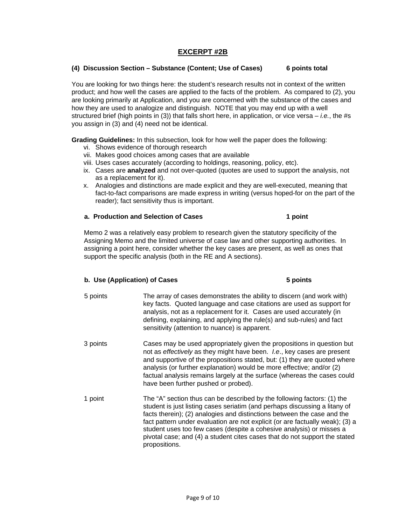### **EXCERPT #2B**

### **(4) Discussion Section – Substance (Content; Use of Cases) 6 points total**

You are looking for two things here: the student's research results not in context of the written product; and how well the cases are applied to the facts of the problem. As compared to (2), you are looking primarily at Application, and you are concerned with the substance of the cases and how they are used to analogize and distinguish. NOTE that you may end up with a well structured brief (high points in (3)) that falls short here, in application, or vice versa – *i.e.*, the #s you assign in (3) and (4) need not be identical.

**Grading Guidelines:** In this subsection, look for how well the paper does the following:

- vi. Shows evidence of thorough research
- vii. Makes good choices among cases that are available
- viii. Uses cases accurately (according to holdings, reasoning, policy, etc).
- ix. Cases are **analyzed** and not over-quoted (quotes are used to support the analysis, not as a replacement for it).
- x. Analogies and distinctions are made explicit and they are well-executed, meaning that fact-to-fact comparisons are made express in writing (versus hoped-for on the part of the reader); fact sensitivity thus is important.

### **a. Production and Selection of Cases**  1 point

Memo 2 was a relatively easy problem to research given the statutory specificity of the Assigning Memo and the limited universe of case law and other supporting authorities. In assigning a point here, consider whether the key cases are present, as well as ones that support the specific analysis (both in the RE and A sections).

### **b.** Use (Application) of Cases 5 points

5 points The array of cases demonstrates the ability to discern (and work with) key facts. Quoted language and case citations are used as support for analysis, not as a replacement for it. Cases are used accurately (in defining, explaining, and applying the rule(s) and sub-rules) and fact sensitivity (attention to nuance) is apparent. 3 points Cases may be used appropriately given the propositions in question but not as *effectively* as they might have been. *I.e*., key cases are present and supportive of the propositions stated, but: (1) they are quoted where analysis (or further explanation) would be more effective; and/or (2) factual analysis remains largely at the surface (whereas the cases could have been further pushed or probed). 1 point The "A" section thus can be described by the following factors: (1) the student is just listing cases seriatim (and perhaps discussing a litany of facts therein); (2) analogies and distinctions between the case and the fact pattern under evaluation are not explicit (or are factually weak); (3) a student uses too few cases (despite a cohesive analysis) or misses a pivotal case; and (4) a student cites cases that do not support the stated propositions.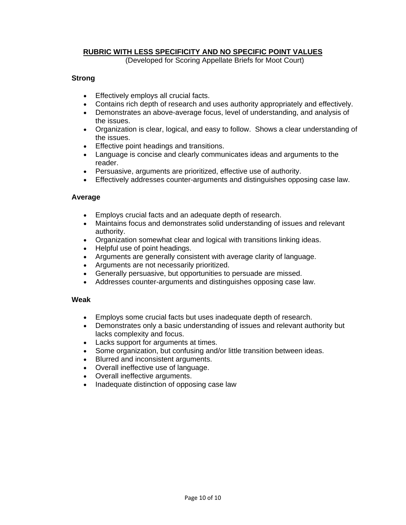### **RUBRIC WITH LESS SPECIFICITY AND NO SPECIFIC POINT VALUES**

(Developed for Scoring Appellate Briefs for Moot Court)

### **Strong**

- Effectively employs all crucial facts.
- Contains rich depth of research and uses authority appropriately and effectively.
- Demonstrates an above-average focus, level of understanding, and analysis of the issues.
- Organization is clear, logical, and easy to follow. Shows a clear understanding of the issues.
- Effective point headings and transitions.
- Language is concise and clearly communicates ideas and arguments to the reader.
- Persuasive, arguments are prioritized, effective use of authority.
- Effectively addresses counter-arguments and distinguishes opposing case law.

### **Average**

- Employs crucial facts and an adequate depth of research.
- Maintains focus and demonstrates solid understanding of issues and relevant authority.
- Organization somewhat clear and logical with transitions linking ideas.
- Helpful use of point headings.
- Arguments are generally consistent with average clarity of language.
- Arguments are not necessarily prioritized.
- Generally persuasive, but opportunities to persuade are missed.
- Addresses counter-arguments and distinguishes opposing case law.

### **Weak**

- Employs some crucial facts but uses inadequate depth of research.
- Demonstrates only a basic understanding of issues and relevant authority but lacks complexity and focus.
- Lacks support for arguments at times.
- Some organization, but confusing and/or little transition between ideas.
- Blurred and inconsistent arguments.
- Overall ineffective use of language.
- Overall ineffective arguments.
- Inadequate distinction of opposing case law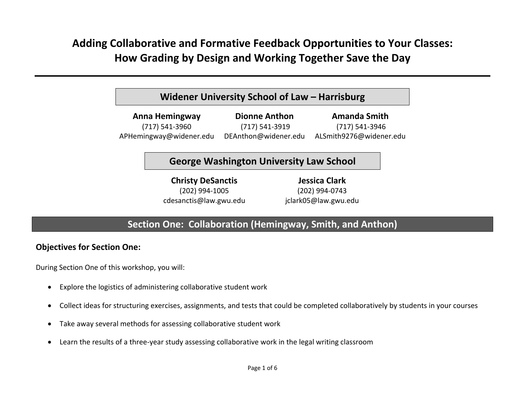# **Adding Collaborative and Formative Feedback Opportunities to Your Classes: How Grading by Design and Working Together Save the Day**

# **Widener University School of Law – Harrisburg**

**Anna Hemingway** (717) 541‐3960 APHemingway@widener.edu **Dionne Anthon**(717) 541‐3919 DEAnthon@widener.edu **Amanda Smith**(717) 541‐3946 ALSmith9276@widener.edu

# **George Washington University Law School**

**Christy DeSanctis** (202) 994‐1005 cdesanctis@law.gwu.edu

**Jessica Clark** (202) 994‐0743 jclark05@law.gwu.edu

# **Section One: Collaboration (Hemingway, Smith, and Anthon)**

## **Objectives for Section One:**

During Section One of this workshop, you will:

- Explore the logistics of administering collaborative student work
- Collect ideas for structuring exercises, assignments, and tests that could be completed collaboratively by students in your courses
- $\bullet$ Take away several methods for assessing collaborative student work
- Learn the results of <sup>a</sup> three‐year study assessing collaborative work in the legal writing classroom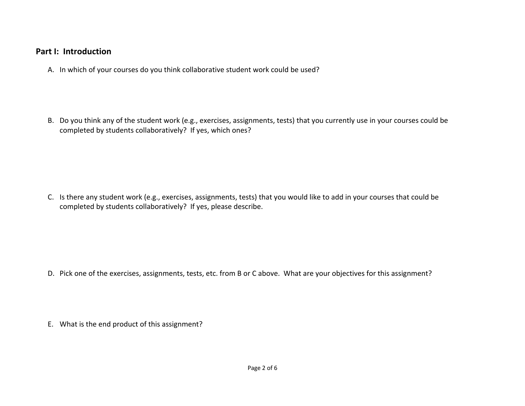## **Part I: Introduction**

A. In which of your courses do you think collaborative student work could be used?

B. Do you think any of the student work (e.g., exercises, assignments, tests) that you currently use in your courses could be completed by students collaboratively? If yes, which ones?

C. Is there any student work (e.g., exercises, assignments, tests) that you would like to add in your courses that could be completed by students collaboratively? If yes, please describe.

D. Pick one of the exercises, assignments, tests, etc. from B or C above. What are your objectives for this assignment?

E. What is the end product of this assignment?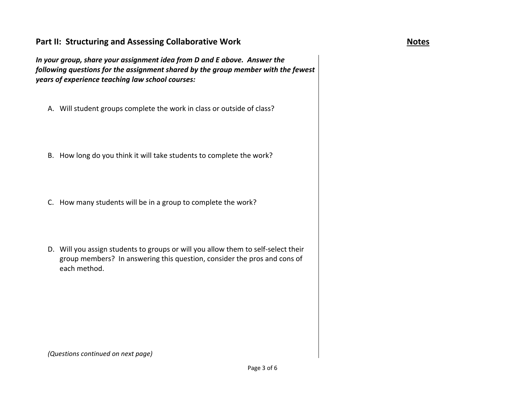## **Part II: Structuring and Assessing Collaborative Work Notes**

*In your group, share your assignment idea from D and E above. Answer the following questions for the assignment shared by the group member with the fewest years of experience teaching law school courses:*

- A. Will student groups complete the work in class or outside of class?
- B. How long do you think it will take students to complete the work?
- C. How many students will be in <sup>a</sup> group to complete the work?
- D. Will you assign students to groups or will you allow them to self‐select their group members? In answering this question, consider the pros and cons of each method.

*(Questions continued on next page)*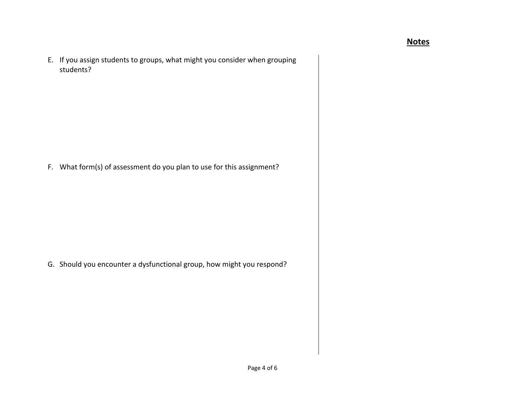## **Notes**

E. If you assign students to groups, what might you consider when grouping students?

F. What form(s) of assessment do you plan to use for this assignment?

G. Should you encounter <sup>a</sup> dysfunctional group, how might you respond?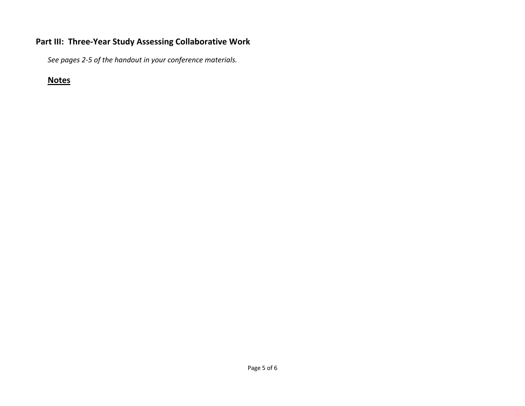## **Part III: Three‐Year Study Assessing Collaborative Work**

*See pages 2‐5 of the handout in your conference materials.*

# **Notes**